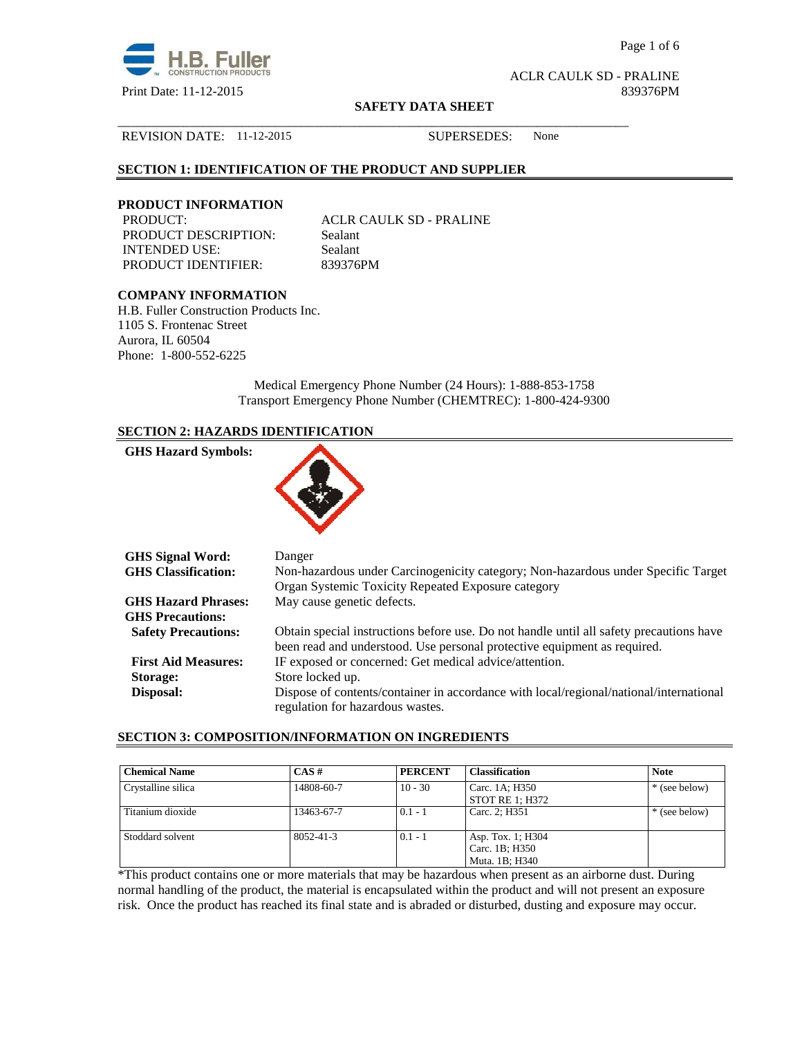

Page 1 of 6

ACLR CAULK SD - PRALINE Print Date: 11-12-2015 839376PM

#### **SAFETY DATA SHEET**

\_\_\_\_\_\_\_\_\_\_\_\_\_\_\_\_\_\_\_\_\_\_\_\_\_\_\_\_\_\_\_\_\_\_\_\_\_\_\_\_\_\_\_\_\_\_\_\_\_\_\_\_\_\_\_\_\_\_\_\_\_\_\_\_\_\_\_\_\_\_\_\_\_\_\_\_\_\_

#### REVISION DATE: 11-12-2015 SUPERSEDES: None

## **SECTION 1: IDENTIFICATION OF THE PRODUCT AND SUPPLIER**

# **PRODUCT INFORMATION**

PRODUCT DESCRIPTION: Sealant INTENDED USE: Sealant PRODUCT IDENTIFIER: 839376PM

ACLR CAULK SD - PRALINE

## **COMPANY INFORMATION**

H.B. Fuller Construction Products Inc. 1105 S. Frontenac Street Aurora, IL 60504 Phone: 1-800-552-6225

> Medical Emergency Phone Number (24 Hours): 1-888-853-1758 Transport Emergency Phone Number (CHEMTREC): 1-800-424-9300

## **SECTION 2: HAZARDS IDENTIFICATION**

| <b>GHS Hazard Symbols:</b> |  |
|----------------------------|--|
|                            |  |

| <b>GHS Signal Word:</b>    | Danger                                                                                  |
|----------------------------|-----------------------------------------------------------------------------------------|
| <b>GHS Classification:</b> | Non-hazardous under Carcinogenicity category; Non-hazardous under Specific Target       |
|                            | Organ Systemic Toxicity Repeated Exposure category                                      |
| <b>GHS Hazard Phrases:</b> | May cause genetic defects.                                                              |
| <b>GHS Precautions:</b>    |                                                                                         |
| <b>Safety Precautions:</b> | Obtain special instructions before use. Do not handle until all safety precautions have |
|                            | been read and understood. Use personal protective equipment as required.                |
| <b>First Aid Measures:</b> | IF exposed or concerned: Get medical advice/attention.                                  |
| Storage:                   | Store locked up.                                                                        |
| Disposal:                  | Dispose of contents/container in accordance with local/regional/national/international  |
|                            | regulation for hazardous wastes.                                                        |

#### **SECTION 3: COMPOSITION/INFORMATION ON INGREDIENTS**

| <b>Chemical Name</b> | CAS#       | <b>PERCENT</b> | <b>Classification</b>                                 | <b>Note</b>   |
|----------------------|------------|----------------|-------------------------------------------------------|---------------|
| Crystalline silica   | 14808-60-7 | $10 - 30$      | Carc. 1A; H350<br>STOT RE 1; H372                     | * (see below) |
| Titanium dioxide     | 13463-67-7 | $0.1 - 1$      | Carc. 2; H351                                         | * (see below) |
| Stoddard solvent     | 8052-41-3  | $0.1 - 1$      | Asp. Tox. 1; H304<br>Carc. 1B; H350<br>Muta. 1B; H340 |               |

\*This product contains one or more materials that may be hazardous when present as an airborne dust. During normal handling of the product, the material is encapsulated within the product and will not present an exposure risk. Once the product has reached its final state and is abraded or disturbed, dusting and exposure may occur.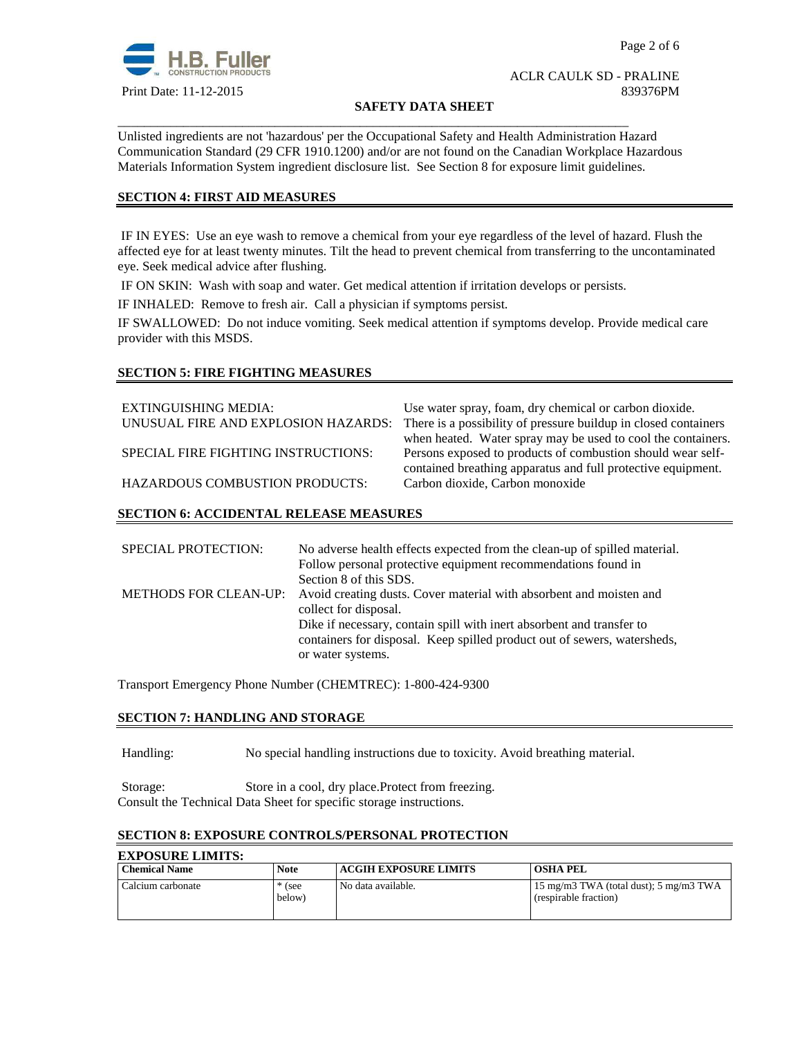

## ACLR CAULK SD - PRALINE Print Date: 11-12-2015 839376PM

#### **SAFETY DATA SHEET**

Unlisted ingredients are not 'hazardous' per the Occupational Safety and Health Administration Hazard Communication Standard (29 CFR 1910.1200) and/or are not found on the Canadian Workplace Hazardous Materials Information System ingredient disclosure list. See Section 8 for exposure limit guidelines.

\_\_\_\_\_\_\_\_\_\_\_\_\_\_\_\_\_\_\_\_\_\_\_\_\_\_\_\_\_\_\_\_\_\_\_\_\_\_\_\_\_\_\_\_\_\_\_\_\_\_\_\_\_\_\_\_\_\_\_\_\_\_\_\_\_\_\_\_\_\_\_\_\_\_\_\_\_\_

## **SECTION 4: FIRST AID MEASURES**

 IF IN EYES: Use an eye wash to remove a chemical from your eye regardless of the level of hazard. Flush the affected eye for at least twenty minutes. Tilt the head to prevent chemical from transferring to the uncontaminated eye. Seek medical advice after flushing.

IF ON SKIN: Wash with soap and water. Get medical attention if irritation develops or persists.

IF INHALED: Remove to fresh air. Call a physician if symptoms persist.

IF SWALLOWED:Do not induce vomiting. Seek medical attention if symptoms develop. Provide medical care provider with this MSDS.

## **SECTION 5: FIRE FIGHTING MEASURES**

| <b>EXTINGUISHING MEDIA:</b>           | Use water spray, foam, dry chemical or carbon dioxide.          |
|---------------------------------------|-----------------------------------------------------------------|
| UNUSUAL FIRE AND EXPLOSION HAZARDS:   | There is a possibility of pressure buildup in closed containers |
|                                       | when heated. Water spray may be used to cool the containers.    |
| SPECIAL FIRE FIGHTING INSTRUCTIONS:   | Persons exposed to products of combustion should wear self-     |
|                                       | contained breathing apparatus and full protective equipment.    |
| <b>HAZARDOUS COMBUSTION PRODUCTS:</b> | Carbon dioxide, Carbon monoxide                                 |

## **SECTION 6: ACCIDENTAL RELEASE MEASURES**

| <b>SPECIAL PROTECTION:</b>   | No adverse health effects expected from the clean-up of spilled material. |
|------------------------------|---------------------------------------------------------------------------|
|                              | Follow personal protective equipment recommendations found in             |
|                              | Section 8 of this SDS.                                                    |
| <b>METHODS FOR CLEAN-UP:</b> | Avoid creating dusts. Cover material with absorbent and moisten and       |
|                              | collect for disposal.                                                     |
|                              | Dike if necessary, contain spill with inert absorbent and transfer to     |
|                              | containers for disposal. Keep spilled product out of sewers, watersheds,  |
|                              | or water systems.                                                         |

Transport Emergency Phone Number (CHEMTREC): 1-800-424-9300

## **SECTION 7: HANDLING AND STORAGE**

Handling: No special handling instructions due to toxicity. Avoid breathing material.

Storage: Store in a cool, dry place.Protect from freezing. Consult the Technical Data Sheet for specific storage instructions.

## **SECTION 8: EXPOSURE CONTROLS/PERSONAL PROTECTION**

#### **EXPOSURE LIMITS: Chemical Name Note ACGIH EXPOSURE LIMITS OSHA PEL** Calcium carbonate \* (see below) No data available. 15 mg/m3 TWA (total dust); 5 mg/m3 TWA (respirable fraction)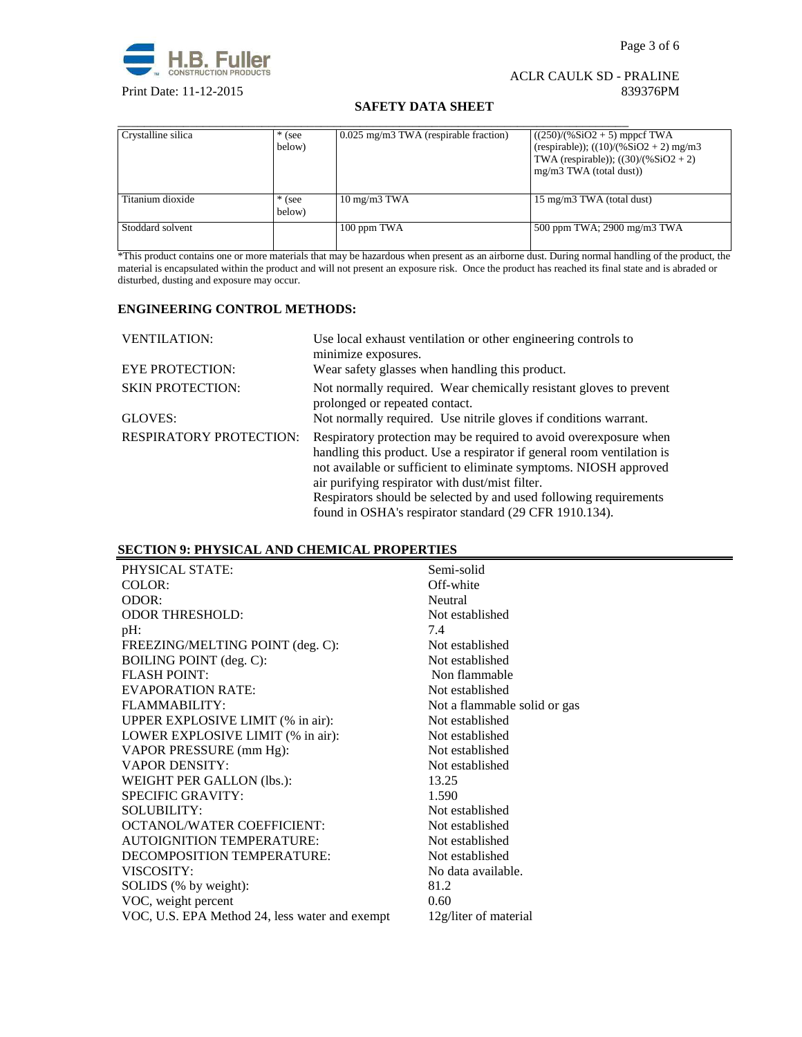

## ACLR CAULK SD - PRALINE Print Date: 11-12-2015 839376PM

## **SAFETY DATA SHEET**

| Crystalline silica | $*$ (see<br>below) | 0.025 mg/m3 TWA (respirable fraction) | $((250)/(%SiO2 + 5)$ mppcf TWA<br>(respirable)); $((10)/(%SiO2 + 2)$ mg/m3<br>TWA (respirable)); $((30)/(%SiO2 + 2))$<br>$mg/m3$ TWA (total dust)) |
|--------------------|--------------------|---------------------------------------|----------------------------------------------------------------------------------------------------------------------------------------------------|
| Titanium dioxide   | $*$ (see<br>below) | $10 \text{ mg/m}$ $3 \text{ TWA}$     | 15 mg/m3 TWA (total dust)                                                                                                                          |
| Stoddard solvent   |                    | 100 ppm TWA                           | 500 ppm TWA; 2900 mg/m3 TWA                                                                                                                        |

\*This product contains one or more materials that may be hazardous when present as an airborne dust. During normal handling of the product, the material is encapsulated within the product and will not present an exposure risk. Once the product has reached its final state and is abraded or disturbed, dusting and exposure may occur.

### **ENGINEERING CONTROL METHODS:**

| <b>VENTILATION:</b>            | Use local exhaust ventilation or other engineering controls to<br>minimize exposures.                                                                                                                                                                                                                                                                                                               |
|--------------------------------|-----------------------------------------------------------------------------------------------------------------------------------------------------------------------------------------------------------------------------------------------------------------------------------------------------------------------------------------------------------------------------------------------------|
| <b>EYE PROTECTION:</b>         | Wear safety glasses when handling this product.                                                                                                                                                                                                                                                                                                                                                     |
| <b>SKIN PROTECTION:</b>        | Not normally required. Wear chemically resistant gloves to prevent<br>prolonged or repeated contact.                                                                                                                                                                                                                                                                                                |
| GLOVES:                        | Not normally required. Use nitrile gloves if conditions warrant.                                                                                                                                                                                                                                                                                                                                    |
| <b>RESPIRATORY PROTECTION:</b> | Respiratory protection may be required to avoid over exposure when<br>handling this product. Use a respirator if general room ventilation is<br>not available or sufficient to eliminate symptoms. NIOSH approved<br>air purifying respirator with dust/mist filter.<br>Respirators should be selected by and used following requirements<br>found in OSHA's respirator standard (29 CFR 1910.134). |

## **SECTION 9: PHYSICAL AND CHEMICAL PROPERTIES**

| PHYSICAL STATE:                                | Semi-solid                   |
|------------------------------------------------|------------------------------|
| COLOR:                                         | Off-white                    |
| ODOR:                                          | Neutral                      |
| <b>ODOR THRESHOLD:</b>                         | Not established              |
| $pH$ :                                         | 7.4                          |
| FREEZING/MELTING POINT (deg. C):               | Not established              |
| BOILING POINT (deg. C):                        | Not established              |
| <b>FLASH POINT:</b>                            | Non flammable                |
| <b>EVAPORATION RATE:</b>                       | Not established              |
| FLAMMARILITY:                                  | Not a flammable solid or gas |
| UPPER EXPLOSIVE LIMIT (% in air):              | Not established              |
| LOWER EXPLOSIVE LIMIT (% in air):              | Not established              |
| VAPOR PRESSURE (mm Hg):                        | Not established              |
| <b>VAPOR DENSITY:</b>                          | Not established              |
| WEIGHT PER GALLON (lbs.):                      | 13.25                        |
| <b>SPECIFIC GRAVITY:</b>                       | 1.590                        |
| SOLUBILITY:                                    | Not established              |
| <b>OCTANOL/WATER COEFFICIENT:</b>              | Not established              |
| <b>AUTOIGNITION TEMPERATURE:</b>               | Not established              |
| DECOMPOSITION TEMPERATURE:                     | Not established              |
| VISCOSITY:                                     | No data available.           |
| SOLIDS (% by weight):                          | 81.2                         |
| VOC, weight percent                            | 0.60                         |
| VOC, U.S. EPA Method 24, less water and exempt | 12g/liter of material        |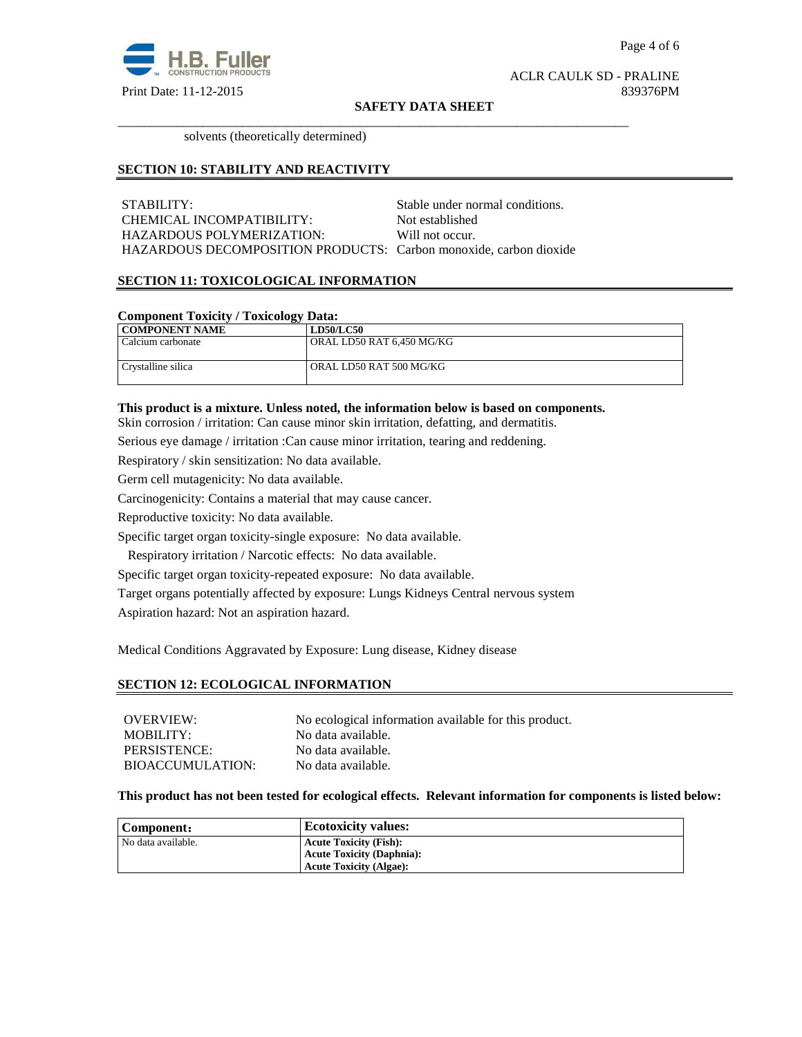

#### **SAFETY DATA SHEET**

\_\_\_\_\_\_\_\_\_\_\_\_\_\_\_\_\_\_\_\_\_\_\_\_\_\_\_\_\_\_\_\_\_\_\_\_\_\_\_\_\_\_\_\_\_\_\_\_\_\_\_\_\_\_\_\_\_\_\_\_\_\_\_\_\_\_\_\_\_\_\_\_\_\_\_\_\_\_

solvents (theoretically determined)

### **SECTION 10: STABILITY AND REACTIVITY**

STABILITY: STABILITY: CHEMICAL INCOMPATIBILITY: Not established HAZARDOUS POLYMERIZATION: Will not occur. HAZARDOUS DECOMPOSITION PRODUCTS: Carbon monoxide, carbon dioxide

## **SECTION 11: TOXICOLOGICAL INFORMATION**

#### **Component Toxicity / Toxicology Data:**

| .                  |                           |
|--------------------|---------------------------|
| COMPONENT NAME     | <b>LD50/LC50</b>          |
| Calcium carbonate  | ORAL LD50 RAT 6.450 MG/KG |
|                    |                           |
| Crystalline silica | ORAL LD50 RAT 500 MG/KG   |
|                    |                           |

#### **This product is a mixture. Unless noted, the information below is based on components.**

Skin corrosion / irritation: Can cause minor skin irritation, defatting, and dermatitis.

Serious eye damage / irritation :Can cause minor irritation, tearing and reddening.

Respiratory / skin sensitization: No data available.

Germ cell mutagenicity: No data available.

Carcinogenicity: Contains a material that may cause cancer.

Reproductive toxicity: No data available.

Specific target organ toxicity-single exposure:No data available.

Respiratory irritation / Narcotic effects: No data available.

Specific target organ toxicity-repeated exposure:No data available.

Target organs potentially affected by exposure: Lungs Kidneys Central nervous system

Aspiration hazard: Not an aspiration hazard.

Medical Conditions Aggravated by Exposure: Lung disease, Kidney disease

## **SECTION 12: ECOLOGICAL INFORMATION**

| OVERVIEW:        | No ecological information available for this product. |
|------------------|-------------------------------------------------------|
| MOBILITY:        | No data available.                                    |
| PERSISTENCE:     | No data available.                                    |
| BIOACCUMULATION: | No data available.                                    |

## **This product has not been tested for ecological effects. Relevant information for components is listed below:**

| Component:         | <b>Ecotoxicity values:</b>       |
|--------------------|----------------------------------|
| No data available. | <b>Acute Toxicity (Fish):</b>    |
|                    | <b>Acute Toxicity (Daphnia):</b> |
|                    | <b>Acute Toxicity (Algae):</b>   |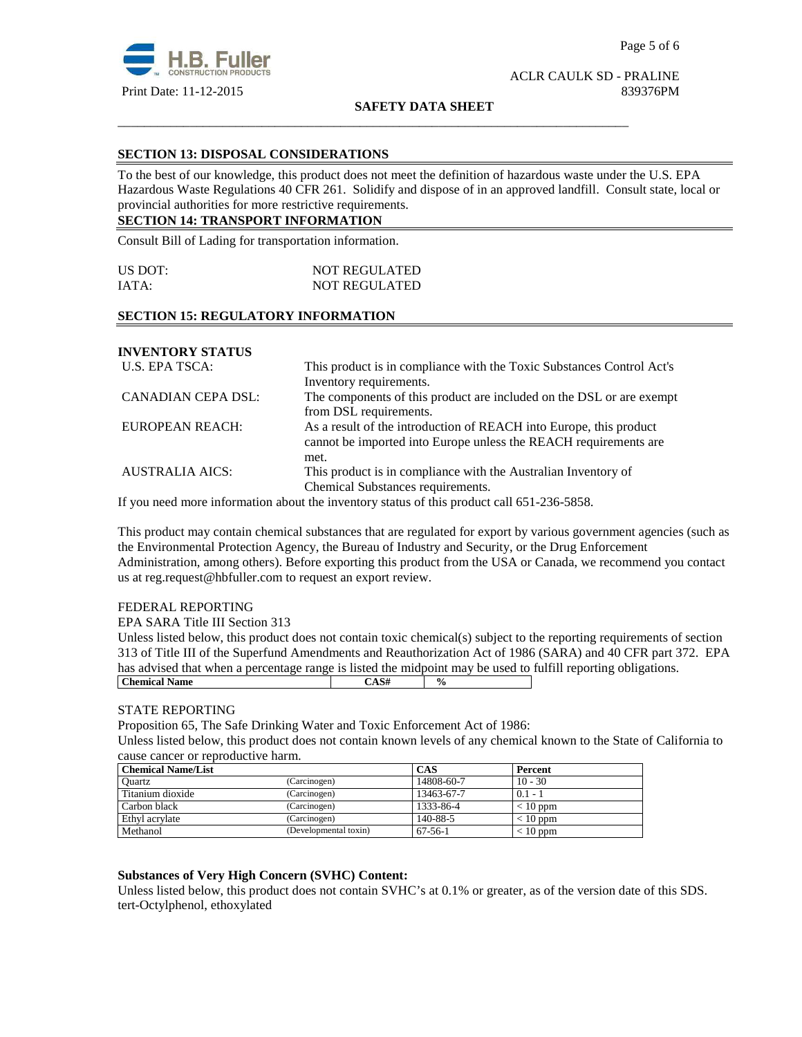

#### **SAFETY DATA SHEET**

\_\_\_\_\_\_\_\_\_\_\_\_\_\_\_\_\_\_\_\_\_\_\_\_\_\_\_\_\_\_\_\_\_\_\_\_\_\_\_\_\_\_\_\_\_\_\_\_\_\_\_\_\_\_\_\_\_\_\_\_\_\_\_\_\_\_\_\_\_\_\_\_\_\_\_\_\_\_

## **SECTION 13: DISPOSAL CONSIDERATIONS**

To the best of our knowledge, this product does not meet the definition of hazardous waste under the U.S. EPA Hazardous Waste Regulations 40 CFR 261. Solidify and dispose of in an approved landfill. Consult state, local or provincial authorities for more restrictive requirements.

## **SECTION 14: TRANSPORT INFORMATION**

Consult Bill of Lading for transportation information.

| US DOT: | <b>NOT REGULATED</b> |
|---------|----------------------|
| IATA:   | <b>NOT REGULATED</b> |

#### **SECTION 15: REGULATORY INFORMATION**

## **INVENTORY STATUS**

| U.S. EPA TSCA:            | This product is in compliance with the Toxic Substances Control Act's |
|---------------------------|-----------------------------------------------------------------------|
|                           | Inventory requirements.                                               |
| <b>CANADIAN CEPA DSL:</b> | The components of this product are included on the DSL or are exempt  |
|                           | from DSL requirements.                                                |
| EUROPEAN REACH:           | As a result of the introduction of REACH into Europe, this product    |
|                           | cannot be imported into Europe unless the REACH requirements are      |
|                           | met.                                                                  |
| <b>AUSTRALIA AICS:</b>    | This product is in compliance with the Australian Inventory of        |
|                           | Chemical Substances requirements.                                     |

If you need more information about the inventory status of this product call 651-236-5858.

This product may contain chemical substances that are regulated for export by various government agencies (such as the Environmental Protection Agency, the Bureau of Industry and Security, or the Drug Enforcement Administration, among others). Before exporting this product from the USA or Canada, we recommend you contact us at reg.request@hbfuller.com to request an export review.

## FEDERAL REPORTING

EPA SARA Title III Section 313

Unless listed below, this product does not contain toxic chemical(s) subject to the reporting requirements of section 313 of Title III of the Superfund Amendments and Reauthorization Act of 1986 (SARA) and 40 CFR part 372. EPA has advised that when a percentage range is listed the midpoint may be used to fulfill reporting obligations. **Chemical Name**  $\qquad \qquad$   $\qquad \qquad$   $\qquad \qquad$   $\qquad \qquad$   $\qquad \qquad$   $\qquad \qquad$   $\qquad \qquad$   $\qquad \qquad$   $\qquad \qquad$   $\qquad \qquad$   $\qquad \qquad$   $\qquad \qquad$   $\qquad \qquad$   $\qquad \qquad$   $\qquad \qquad$   $\qquad \qquad$   $\qquad \qquad$   $\qquad \qquad$   $\qquad \qquad$   $\qquad \qquad$   $\qquad \qquad$   $\qquad \qquad$   $\qquad \qquad$ 

## STATE REPORTING

Proposition 65, The Safe Drinking Water and Toxic Enforcement Act of 1986:

Unless listed below, this product does not contain known levels of any chemical known to the State of California to cause cancer or reproductive harm.

| <b>Chemical Name/List</b> |                       | <b>CAS</b> | Percent    |
|---------------------------|-----------------------|------------|------------|
| Ouartz                    | (Carcinogen)          | 14808-60-7 | $10 - 30$  |
| Titanium dioxide          | (Carcinogen)          | 13463-67-7 | $0.1 - 1$  |
| Carbon black              | (Carcinogen)          | 1333-86-4  | $< 10$ ppm |
| Ethyl acrylate            | (Carcinogen)          | 140-88-5   | $< 10$ ppm |
| Methanol                  | (Developmental toxin) | $67-56-1$  | $< 10$ ppm |

## **Substances of Very High Concern (SVHC) Content:**

Unless listed below, this product does not contain SVHC's at 0.1% or greater, as of the version date of this SDS. tert-Octylphenol, ethoxylated